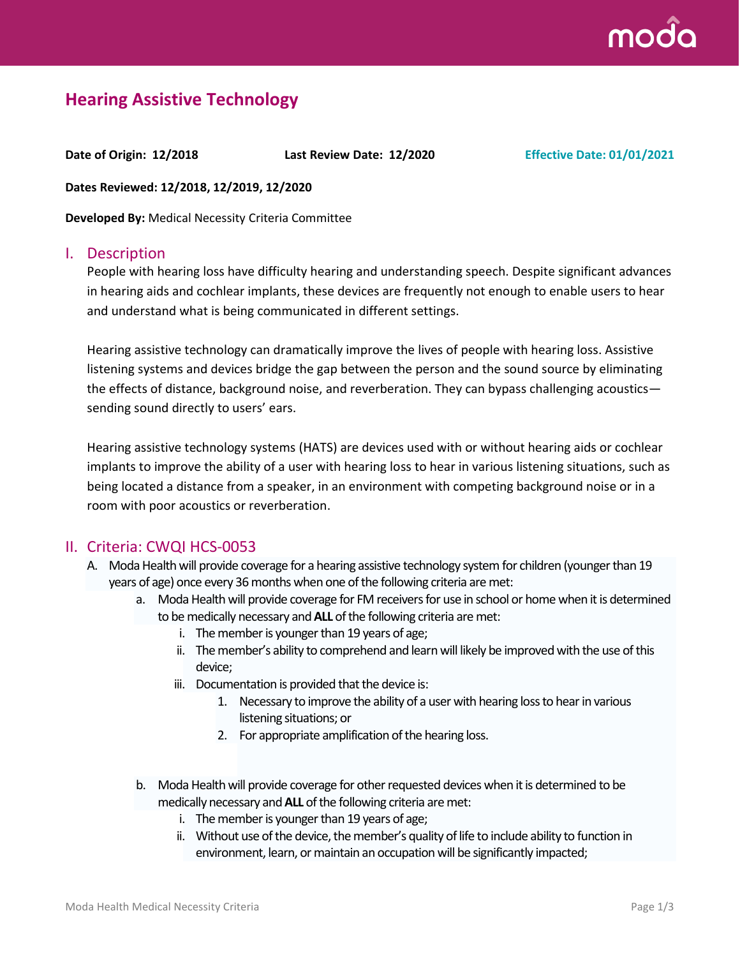

# **Hearing Assistive Technology**

**Date of Origin: 12/2018 Last Review Date: 12/2020 Effective Date: 01/01/2021**

**Dates Reviewed: 12/2018, 12/2019, 12/2020**

**Developed By:** Medical Necessity Criteria Committee

#### I. Description

People with hearing loss have difficulty hearing and understanding speech. Despite significant advances in hearing aids and cochlear implants, these devices are frequently not enough to enable users to hear and understand what is being communicated in different settings.

Hearing assistive technology can dramatically improve the lives of people with hearing loss. Assistive listening systems and devices bridge the gap between the person and the sound source by eliminating the effects of distance, background noise, and reverberation. They can bypass challenging acoustics sending sound directly to users' ears.

Hearing assistive technology systems (HATS) are devices used with or without hearing aids or cochlear implants to improve the ability of a user with hearing loss to hear in various listening situations, such as being located a distance from a speaker, in an environment with competing background noise or in a room with poor acoustics or reverberation.

#### II. Criteria: CWQI HCS-0053

- A. Moda Health will provide coverage for a hearing assistive technology system for children (younger than 19 years of age) once every 36 months when one of the following criteria are met:
	- a. Moda Health will provide coverage for FM receivers for use in school or home when it is determined to be medically necessary and **ALL** of the following criteria are met:
		- i. The member is younger than 19 years of age;
		- ii. The member's ability to comprehend and learn will likely be improved with the use of this device;
		- iii. Documentation is provided that the device is:
			- 1. Necessary to improve the ability of a user with hearing loss to hear in various listening situations; or
			- 2. For appropriate amplification of the hearing loss.
	- b. Moda Health will provide coverage for other requested devices when it is determined to be medically necessary and **ALL** of the following criteria are met:
		- i. The member is younger than 19 years of age;
		- ii. Without use of the device, the member's quality of life to include ability to function in environment, learn, or maintain an occupation will be significantly impacted;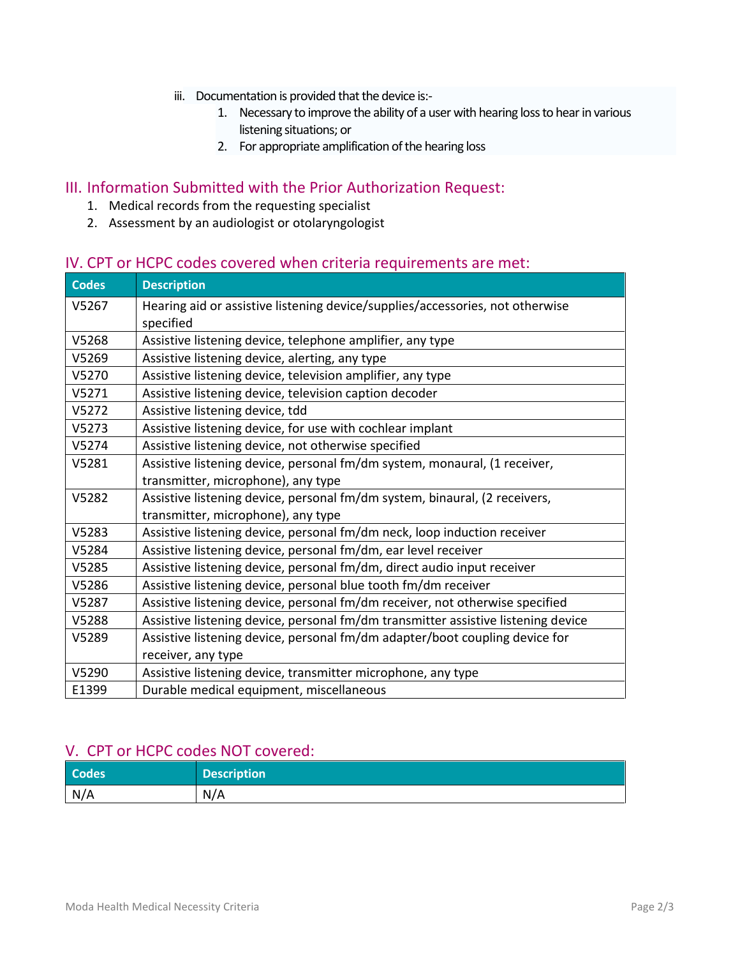- iii. Documentation is provided that the device is:-
	- 1. Necessary to improve the ability of a user with hearing loss to hear in various listening situations; or
	- 2. For appropriate amplification of the hearing loss

# III. Information Submitted with the Prior Authorization Request:

- 1. Medical records from the requesting specialist
- 2. Assessment by an audiologist or otolaryngologist

### IV. CPT or HCPC codes covered when criteria requirements are met:

| <b>Codes</b> | <b>Description</b>                                                                         |
|--------------|--------------------------------------------------------------------------------------------|
| V5267        | Hearing aid or assistive listening device/supplies/accessories, not otherwise<br>specified |
| V5268        | Assistive listening device, telephone amplifier, any type                                  |
| V5269        | Assistive listening device, alerting, any type                                             |
| V5270        | Assistive listening device, television amplifier, any type                                 |
| V5271        | Assistive listening device, television caption decoder                                     |
| V5272        | Assistive listening device, tdd                                                            |
| V5273        | Assistive listening device, for use with cochlear implant                                  |
| V5274        | Assistive listening device, not otherwise specified                                        |
| V5281        | Assistive listening device, personal fm/dm system, monaural, (1 receiver,                  |
|              | transmitter, microphone), any type                                                         |
| V5282        | Assistive listening device, personal fm/dm system, binaural, (2 receivers,                 |
|              | transmitter, microphone), any type                                                         |
| V5283        | Assistive listening device, personal fm/dm neck, loop induction receiver                   |
| V5284        | Assistive listening device, personal fm/dm, ear level receiver                             |
| V5285        | Assistive listening device, personal fm/dm, direct audio input receiver                    |
| V5286        | Assistive listening device, personal blue tooth fm/dm receiver                             |
| V5287        | Assistive listening device, personal fm/dm receiver, not otherwise specified               |
| V5288        | Assistive listening device, personal fm/dm transmitter assistive listening device          |
| V5289        | Assistive listening device, personal fm/dm adapter/boot coupling device for                |
|              | receiver, any type                                                                         |
| V5290        | Assistive listening device, transmitter microphone, any type                               |
| E1399        | Durable medical equipment, miscellaneous                                                   |

#### V. CPT or HCPC codes NOT covered:

| <b>Codes</b> | <b>Description</b> |
|--------------|--------------------|
| N/A          | N/A                |